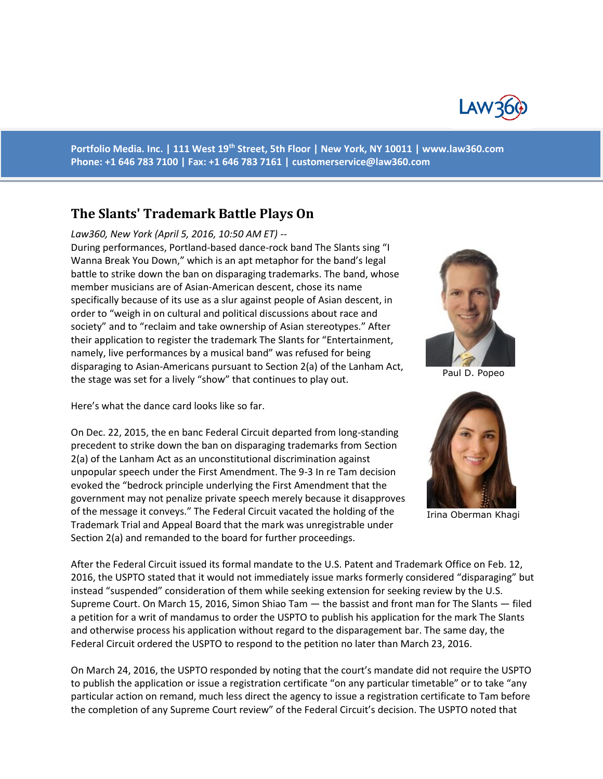

**Portfolio Media. Inc. | 111 West 19th Street, 5th Floor | New York, NY 10011 | www.law360.com Phone: +1 646 783 7100 | Fax: +1 646 783 7161 | [customerservice@law360.com](mailto:customerservice@law360.com)**

# **The Slants' Trademark Battle Plays On**

#### *Law360, New York (April 5, 2016, 10:50 AM ET) --*

During performances, Portland-based dance-rock band The Slants sing "I Wanna Break You Down," which is an apt metaphor for the band's legal battle to strike down the ban on disparaging trademarks. The band, whose member musicians are of Asian-American descent, chose its name specifically because of its use as a slur against people of Asian descent, in order to "weigh in on cultural and political discussions about race and society" and to "reclaim and take ownership of Asian stereotypes." After their application to register the trademark The Slants for "Entertainment, namely, live performances by a musical band" was refused for being disparaging to Asian-Americans pursuant to Section 2(a) of the Lanham Act, the stage was set for a lively "show" that continues to play out.

Here's what the dance card looks like so far.

On Dec. 22, 2015, the en banc Federal Circuit departed from long-standing precedent to strike down the ban on disparaging trademarks from Section 2(a) of the Lanham Act as an unconstitutional discrimination against unpopular speech under the First Amendment. The 9-3 In re Tam decision evoked the "bedrock principle underlying the First Amendment that the government may not penalize private speech merely because it disapproves of the message it conveys." The Federal Circuit vacated the holding of the Trademark Trial and Appeal Board that the mark was unregistrable under Section 2(a) and remanded to the board for further proceedings.



Paul D. Popeo



Irina Oberman Khagi

After the Federal Circuit issued its formal mandate to the U.S. Patent and Trademark Office on Feb. 12, 2016, the USPTO stated that it would not immediately issue marks formerly considered "disparaging" but instead "suspended" consideration of them while seeking extension for seeking review by the U.S. Supreme Court. On March 15, 2016, Simon Shiao Tam — the bassist and front man for The Slants — filed a petition for a writ of mandamus to order the USPTO to publish his application for the mark The Slants and otherwise process his application without regard to the disparagement bar. The same day, the Federal Circuit ordered the USPTO to respond to the petition no later than March 23, 2016.

On March 24, 2016, the USPTO responded by noting that the court's mandate did not require the USPTO to publish the application or issue a registration certificate "on any particular timetable" or to take "any particular action on remand, much less direct the agency to issue a registration certificate to Tam before the completion of any Supreme Court review" of the Federal Circuit's decision. The USPTO noted that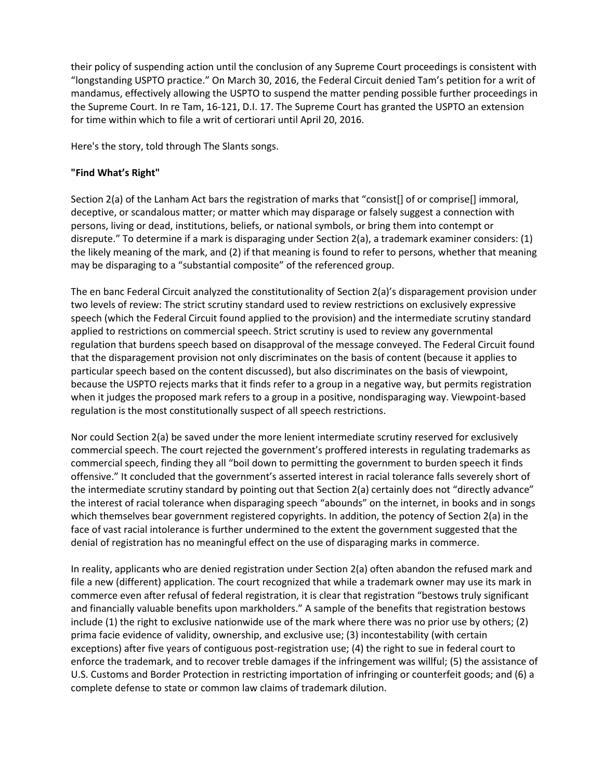their policy of suspending action until the conclusion of any Supreme Court proceedings is consistent with "longstanding USPTO practice." On March 30, 2016, the Federal Circuit denied Tam's petition for a writ of mandamus, effectively allowing the USPTO to suspend the matter pending possible further proceedings in the Supreme Court. In re Tam, 16-121, D.I. 17. The Supreme Court has granted the USPTO an extension for time within which to file a writ of certiorari until April 20, 2016.

Here's the story, told through The Slants songs.

# **"Find What's Right"**

Section 2(a) of the Lanham Act bars the registration of marks that "consist[] of or comprise[] immoral, deceptive, or scandalous matter; or matter which may disparage or falsely suggest a connection with persons, living or dead, institutions, beliefs, or national symbols, or bring them into contempt or disrepute." To determine if a mark is disparaging under Section 2(a), a trademark examiner considers: (1) the likely meaning of the mark, and (2) if that meaning is found to refer to persons, whether that meaning may be disparaging to a "substantial composite" of the referenced group.

The en banc Federal Circuit analyzed the constitutionality of Section 2(a)'s disparagement provision under two levels of review: The strict scrutiny standard used to review restrictions on exclusively expressive speech (which the Federal Circuit found applied to the provision) and the intermediate scrutiny standard applied to restrictions on commercial speech. Strict scrutiny is used to review any governmental regulation that burdens speech based on disapproval of the message conveyed. The Federal Circuit found that the disparagement provision not only discriminates on the basis of content (because it applies to particular speech based on the content discussed), but also discriminates on the basis of viewpoint, because the USPTO rejects marks that it finds refer to a group in a negative way, but permits registration when it judges the proposed mark refers to a group in a positive, nondisparaging way. Viewpoint-based regulation is the most constitutionally suspect of all speech restrictions.

Nor could Section 2(a) be saved under the more lenient intermediate scrutiny reserved for exclusively commercial speech. The court rejected the government's proffered interests in regulating trademarks as commercial speech, finding they all "boil down to permitting the government to burden speech it finds offensive." It concluded that the government's asserted interest in racial tolerance falls severely short of the intermediate scrutiny standard by pointing out that Section 2(a) certainly does not "directly advance" the interest of racial tolerance when disparaging speech "abounds" on the internet, in books and in songs which themselves bear government registered copyrights. In addition, the potency of Section 2(a) in the face of vast racial intolerance is further undermined to the extent the government suggested that the denial of registration has no meaningful effect on the use of disparaging marks in commerce.

In reality, applicants who are denied registration under Section 2(a) often abandon the refused mark and file a new (different) application. The court recognized that while a trademark owner may use its mark in commerce even after refusal of federal registration, it is clear that registration "bestows truly significant and financially valuable benefits upon markholders." A sample of the benefits that registration bestows include (1) the right to exclusive nationwide use of the mark where there was no prior use by others; (2) prima facie evidence of validity, ownership, and exclusive use; (3) incontestability (with certain exceptions) after five years of contiguous post-registration use; (4) the right to sue in federal court to enforce the trademark, and to recover treble damages if the infringement was willful; (5) the assistance of U.S. Customs and Border Protection in restricting importation of infringing or counterfeit goods; and (6) a complete defense to state or common law claims of trademark dilution.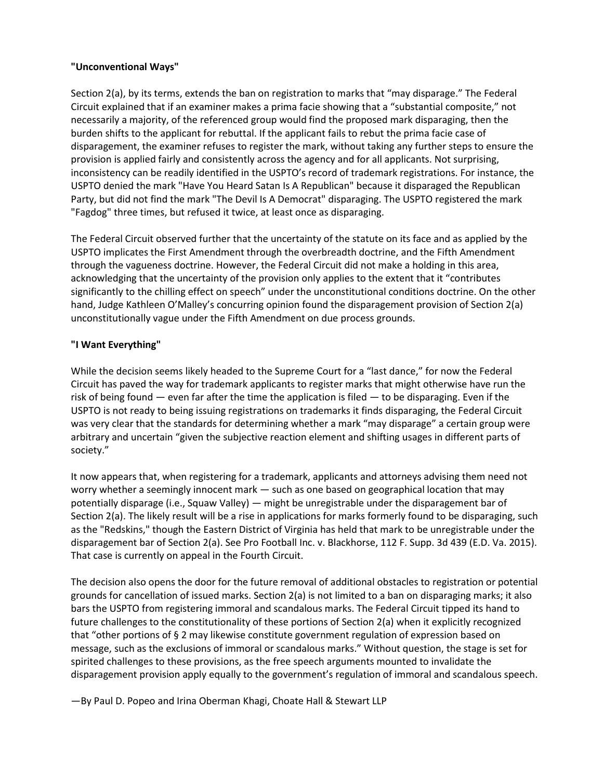## **"Unconventional Ways"**

Section 2(a), by its terms, extends the ban on registration to marks that "may disparage." The Federal Circuit explained that if an examiner makes a prima facie showing that a "substantial composite," not necessarily a majority, of the referenced group would find the proposed mark disparaging, then the burden shifts to the applicant for rebuttal. If the applicant fails to rebut the prima facie case of disparagement, the examiner refuses to register the mark, without taking any further steps to ensure the provision is applied fairly and consistently across the agency and for all applicants. Not surprising, inconsistency can be readily identified in the USPTO's record of trademark registrations. For instance, the USPTO denied the mark "Have You Heard Satan Is A Republican" because it disparaged the Republican Party, but did not find the mark "The Devil Is A Democrat" disparaging. The USPTO registered the mark "Fagdog" three times, but refused it twice, at least once as disparaging.

The Federal Circuit observed further that the uncertainty of the statute on its face and as applied by the USPTO implicates the First Amendment through the overbreadth doctrine, and the Fifth Amendment through the vagueness doctrine. However, the Federal Circuit did not make a holding in this area, acknowledging that the uncertainty of the provision only applies to the extent that it "contributes significantly to the chilling effect on speech" under the unconstitutional conditions doctrine. On the other hand, Judge Kathleen O'Malley's concurring opinion found the disparagement provision of Section 2(a) unconstitutionally vague under the Fifth Amendment on due process grounds.

## **"I Want Everything"**

While the decision seems likely headed to the Supreme Court for a "last dance," for now the Federal Circuit has paved the way for trademark applicants to register marks that might otherwise have run the risk of being found  $-$  even far after the time the application is filed  $-$  to be disparaging. Even if the USPTO is not ready to being issuing registrations on trademarks it finds disparaging, the Federal Circuit was very clear that the standards for determining whether a mark "may disparage" a certain group were arbitrary and uncertain "given the subjective reaction element and shifting usages in different parts of society."

It now appears that, when registering for a trademark, applicants and attorneys advising them need not worry whether a seemingly innocent mark — such as one based on geographical location that may potentially disparage (i.e., Squaw Valley) — might be unregistrable under the disparagement bar of Section 2(a). The likely result will be a rise in applications for marks formerly found to be disparaging, such as the "Redskins," though the Eastern District of Virginia has held that mark to be unregistrable under the disparagement bar of Section 2(a). See Pro Football Inc. v. Blackhorse, 112 F. Supp. 3d 439 (E.D. Va. 2015). That case is currently on appeal in the Fourth Circuit.

The decision also opens the door for the future removal of additional obstacles to registration or potential grounds for cancellation of issued marks. Section 2(a) is not limited to a ban on disparaging marks; it also bars the USPTO from registering immoral and scandalous marks. The Federal Circuit tipped its hand to future challenges to the constitutionality of these portions of Section 2(a) when it explicitly recognized that "other portions of § 2 may likewise constitute government regulation of expression based on message, such as the exclusions of immoral or scandalous marks." Without question, the stage is set for spirited challenges to these provisions, as the free speech arguments mounted to invalidate the disparagement provision apply equally to the government's regulation of immoral and scandalous speech.

—By Paul D. Popeo and Irina Oberman Khagi, Choate Hall & Stewart LLP